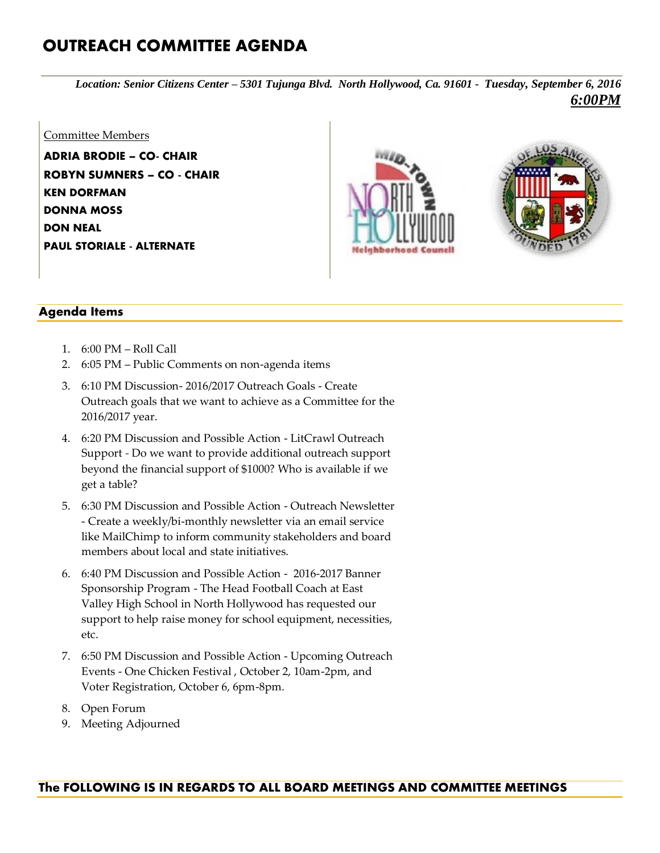## **OUTREACH COMMITTEE AGENDA**

*Location: Senior Citizens Center – 5301 Tujunga Blvd. North Hollywood, Ca. 91601 - Tuesday, September 6, 2016 6:00PM*

## Committee Members

**ADRIA BRODIE – CO- CHAIR ROBYN SUMNERS – CO - CHAIR KEN DORFMAN DONNA MOSS DON NEAL PAUL STORIALE - ALTERNATE**





## **Agenda Items**

- 1. 6:00 PM Roll Call
- 2. 6:05 PM Public Comments on non-agenda items
- 3. 6:10 PM Discussion- 2016/2017 Outreach Goals Create Outreach goals that we want to achieve as a Committee for the 2016/2017 year.
- 4. 6:20 PM Discussion and Possible Action LitCrawl Outreach Support *-* Do we want to provide additional outreach support beyond the financial support of \$1000? Who is available if we get a table?
- 5. 6:30 PM Discussion and Possible Action Outreach Newsletter - Create a weekly/bi-monthly newsletter via an email service like MailChimp to inform community stakeholders and board members about local and state initiatives.
- 6. 6:40 PM Discussion and Possible Action 2016-2017 Banner Sponsorship Program - The Head Football Coach at East Valley High School in North Hollywood has requested our support to help raise money for school equipment, necessities, etc.
- 7. 6:50 PM Discussion and Possible Action Upcoming Outreach Events - One Chicken Festival , October 2, 10am-2pm, and Voter Registration, October 6, 6pm-8pm.
- 8. Open Forum
- 9. Meeting Adjourned